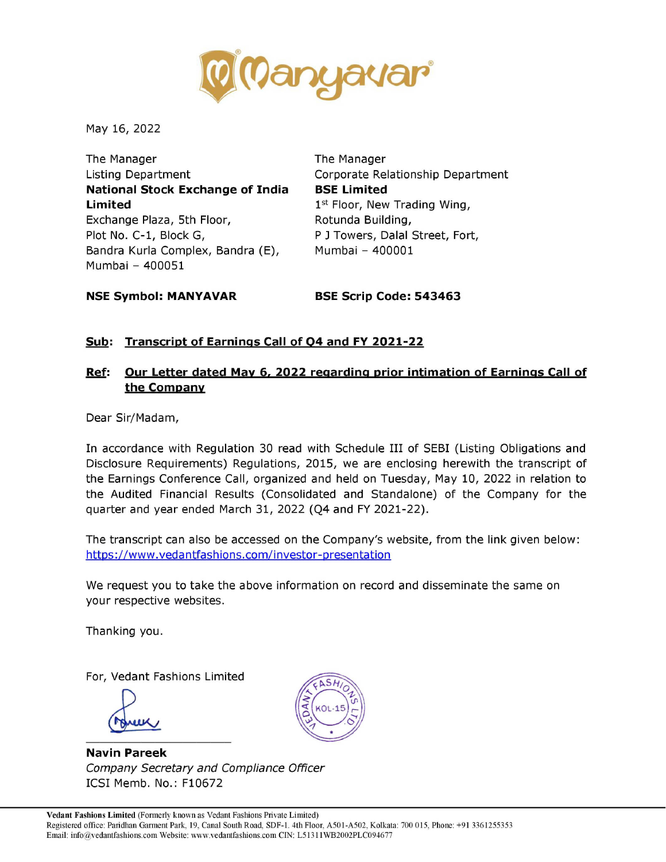

May 16, 2022

The Manager The Manager Listing Department Corporate Relationship Department National Stock Exchange of India BSE Limited **Limited** 1st Floor, New Trading Wing, Exchange Plaza, 5th Floor, Rotunda Building, Plot No. C-1, Block G, The R P J Towers, Dalal Street, Fort, Bandra Kurla Complex, Bandra (E), Mumbai - 400001 Mumbai - 400051 The Manager<br>
Listing Department<br> **Limited**<br> **National Stock Exchange of India<br>
BSI**<br>
Limited<br>
Exchange Plaza, 5th Floor,<br>
Pot No. C-1, Block G,<br>
Bandra Kuria Complex, Bandra (E),<br>
Mumbai – 400051<br> **NSE Symbol: MANYAVAR**<br>
B

NSE Symbol: MANYAVAR BSE Scrip Code: 543463

### Sub: Transcript of Earnings Call of Q4 and FY 2021-22

### Ref: Our Letter dated May 6, 2022 regarding prior intimation of Earnings Call of the Company

Dear Sir/Madam,

In accordance with Regulation 30 read with Schedule III of SEBI (Listing Obligations and Disclosure Requirements) Regulations, 2015, we are enclosing herewith the transcript of the Earnings Conference Call, organized and held on Tuesday, May 10, 2022 in relation to the Audited Financial Results (Consolidated and Standalone) of the Company for the quarter and year ended March 31, 2022 (Q4 and FY 2021-22).

The transcript can also be accessed on the Company's website, from the link given below: https ://www.vedantfashions.com/investor-presentation

We request you to take the above information on record and disseminate the same on your respective websites.

Thanking you.

For, Vedant Fashions Limited

your respectively<br>Thanking you<br>For, Vedant F

Navin Pareek Company Secretary and Compliance Officer ICSI Memb. No.: Fi0672

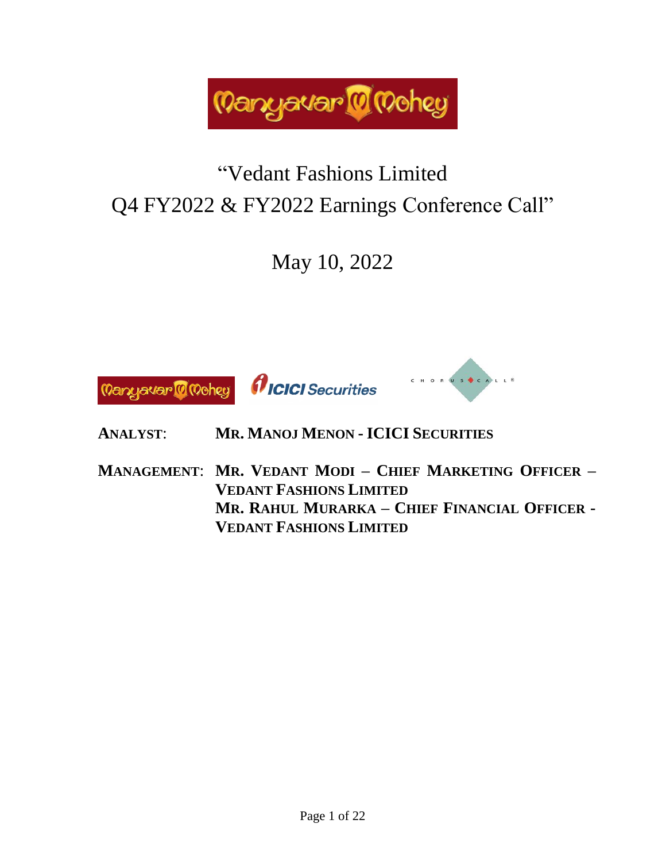

# "Vedant Fashions Limited Q4 FY2022 & FY2022 Earnings Conference Call"

May 10, 2022



- **ANALYST**: **MR. MANOJ MENON - ICICI SECURITIES**
- **MANAGEMENT**: **MR. VEDANT MODI – CHIEF MARKETING OFFICER – VEDANT FASHIONS LIMITED MR. RAHUL MURARKA – CHIEF FINANCIAL OFFICER - VEDANT FASHIONS LIMITED**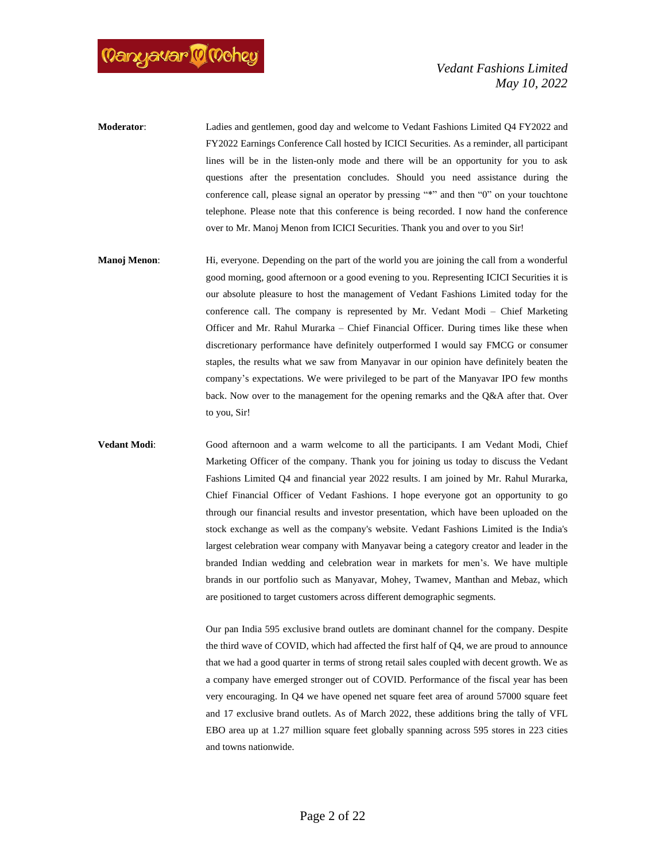

- **Moderator**: Ladies and gentlemen, good day and welcome to Vedant Fashions Limited Q4 FY2022 and FY2022 Earnings Conference Call hosted by ICICI Securities. As a reminder, all participant lines will be in the listen-only mode and there will be an opportunity for you to ask questions after the presentation concludes. Should you need assistance during the conference call, please signal an operator by pressing "\*" and then "0" on your touchtone telephone. Please note that this conference is being recorded. I now hand the conference over to Mr. Manoj Menon from ICICI Securities. Thank you and over to you Sir!
- **Manoj Menon:** Hi, everyone. Depending on the part of the world you are joining the call from a wonderful good morning, good afternoon or a good evening to you. Representing ICICI Securities it is our absolute pleasure to host the management of Vedant Fashions Limited today for the conference call. The company is represented by Mr. Vedant Modi – Chief Marketing Officer and Mr. Rahul Murarka – Chief Financial Officer. During times like these when discretionary performance have definitely outperformed I would say FMCG or consumer staples, the results what we saw from Manyavar in our opinion have definitely beaten the company's expectations. We were privileged to be part of the Manyavar IPO few months back. Now over to the management for the opening remarks and the Q&A after that. Over to you, Sir!

**Vedant Modi**: Good afternoon and a warm welcome to all the participants. I am Vedant Modi, Chief Marketing Officer of the company. Thank you for joining us today to discuss the Vedant Fashions Limited Q4 and financial year 2022 results. I am joined by Mr. Rahul Murarka, Chief Financial Officer of Vedant Fashions. I hope everyone got an opportunity to go through our financial results and investor presentation, which have been uploaded on the stock exchange as well as the company's website. Vedant Fashions Limited is the India's largest celebration wear company with Manyavar being a category creator and leader in the branded Indian wedding and celebration wear in markets for men's. We have multiple brands in our portfolio such as Manyavar, Mohey, Twamev, Manthan and Mebaz, which are positioned to target customers across different demographic segments.

> Our pan India 595 exclusive brand outlets are dominant channel for the company. Despite the third wave of COVID, which had affected the first half of Q4, we are proud to announce that we had a good quarter in terms of strong retail sales coupled with decent growth. We as a company have emerged stronger out of COVID. Performance of the fiscal year has been very encouraging. In Q4 we have opened net square feet area of around 57000 square feet and 17 exclusive brand outlets. As of March 2022, these additions bring the tally of VFL EBO area up at 1.27 million square feet globally spanning across 595 stores in 223 cities and towns nationwide.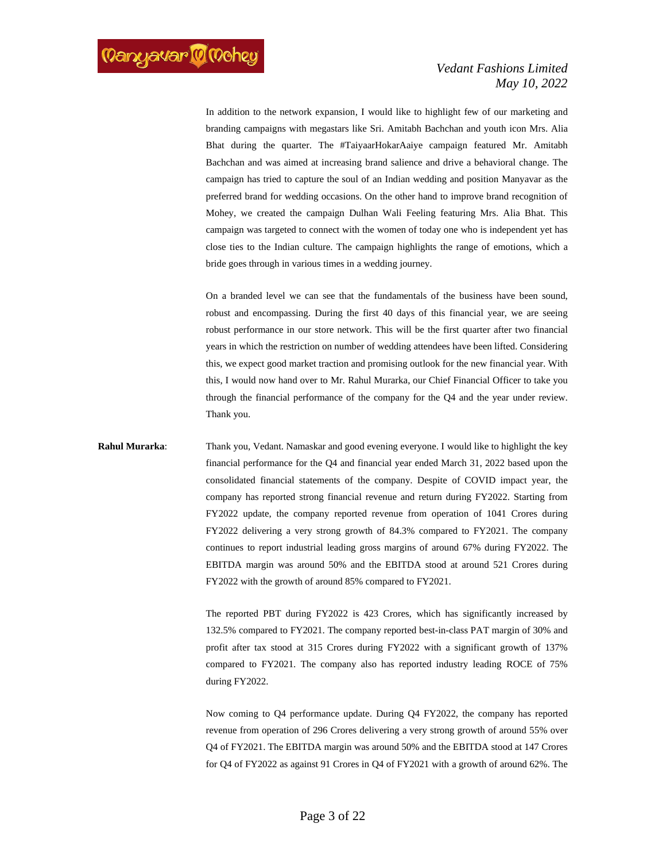In addition to the network expansion, I would like to highlight few of our marketing and branding campaigns with megastars like Sri. Amitabh Bachchan and youth icon Mrs. Alia Bhat during the quarter. The #TaiyaarHokarAaiye campaign featured Mr. Amitabh Bachchan and was aimed at increasing brand salience and drive a behavioral change. The campaign has tried to capture the soul of an Indian wedding and position Manyavar as the preferred brand for wedding occasions. On the other hand to improve brand recognition of Mohey, we created the campaign Dulhan Wali Feeling featuring Mrs. Alia Bhat. This campaign was targeted to connect with the women of today one who is independent yet has close ties to the Indian culture. The campaign highlights the range of emotions, which a bride goes through in various times in a wedding journey.

On a branded level we can see that the fundamentals of the business have been sound, robust and encompassing. During the first 40 days of this financial year, we are seeing robust performance in our store network. This will be the first quarter after two financial years in which the restriction on number of wedding attendees have been lifted. Considering this, we expect good market traction and promising outlook for the new financial year. With this, I would now hand over to Mr. Rahul Murarka, our Chief Financial Officer to take you through the financial performance of the company for the Q4 and the year under review. Thank you.

**Rahul Murarka**: Thank you, Vedant. Namaskar and good evening everyone. I would like to highlight the key financial performance for the Q4 and financial year ended March 31, 2022 based upon the consolidated financial statements of the company. Despite of COVID impact year, the company has reported strong financial revenue and return during FY2022. Starting from FY2022 update, the company reported revenue from operation of 1041 Crores during FY2022 delivering a very strong growth of 84.3% compared to FY2021. The company continues to report industrial leading gross margins of around 67% during FY2022. The EBITDA margin was around 50% and the EBITDA stood at around 521 Crores during FY2022 with the growth of around 85% compared to FY2021.

> The reported PBT during FY2022 is 423 Crores, which has significantly increased by 132.5% compared to FY2021. The company reported best-in-class PAT margin of 30% and profit after tax stood at 315 Crores during FY2022 with a significant growth of 137% compared to FY2021. The company also has reported industry leading ROCE of 75% during FY2022.

> Now coming to Q4 performance update. During Q4 FY2022, the company has reported revenue from operation of 296 Crores delivering a very strong growth of around 55% over Q4 of FY2021. The EBITDA margin was around 50% and the EBITDA stood at 147 Crores for Q4 of FY2022 as against 91 Crores in Q4 of FY2021 with a growth of around 62%. The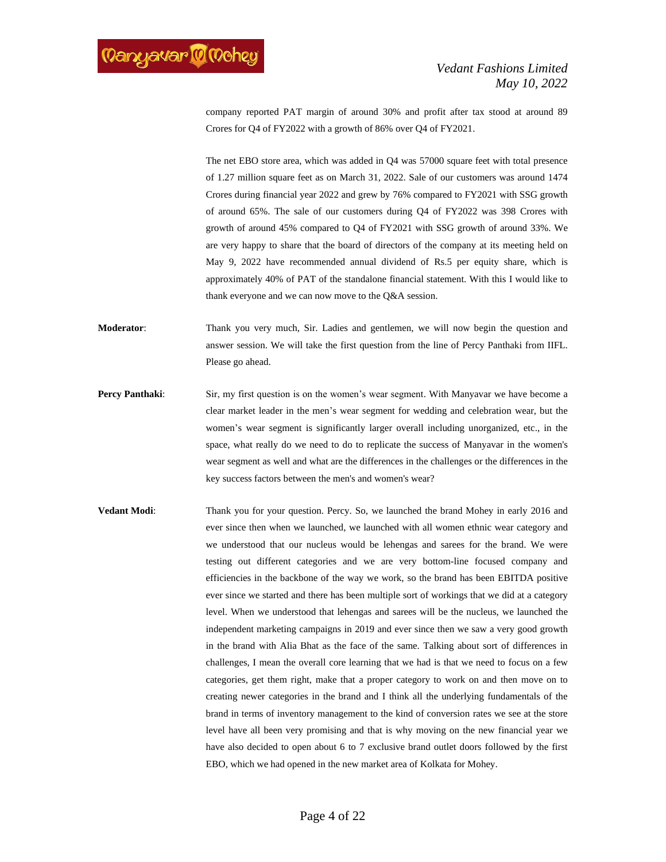company reported PAT margin of around 30% and profit after tax stood at around 89 Crores for Q4 of FY2022 with a growth of 86% over Q4 of FY2021.

The net EBO store area, which was added in Q4 was 57000 square feet with total presence of 1.27 million square feet as on March 31, 2022. Sale of our customers was around 1474 Crores during financial year 2022 and grew by 76% compared to FY2021 with SSG growth of around 65%. The sale of our customers during Q4 of FY2022 was 398 Crores with growth of around 45% compared to Q4 of FY2021 with SSG growth of around 33%. We are very happy to share that the board of directors of the company at its meeting held on May 9, 2022 have recommended annual dividend of Rs.5 per equity share, which is approximately 40% of PAT of the standalone financial statement. With this I would like to thank everyone and we can now move to the Q&A session.

**Moderator**: Thank you very much, Sir. Ladies and gentlemen, we will now begin the question and answer session. We will take the first question from the line of Percy Panthaki from IIFL. Please go ahead.

- **Percy Panthaki:** Sir, my first question is on the women's wear segment. With Manyavar we have become a clear market leader in the men's wear segment for wedding and celebration wear, but the women's wear segment is significantly larger overall including unorganized, etc., in the space, what really do we need to do to replicate the success of Manyavar in the women's wear segment as well and what are the differences in the challenges or the differences in the key success factors between the men's and women's wear?
- **Vedant Modi:** Thank you for your question. Percy. So, we launched the brand Mohey in early 2016 and ever since then when we launched, we launched with all women ethnic wear category and we understood that our nucleus would be lehengas and sarees for the brand. We were testing out different categories and we are very bottom-line focused company and efficiencies in the backbone of the way we work, so the brand has been EBITDA positive ever since we started and there has been multiple sort of workings that we did at a category level. When we understood that lehengas and sarees will be the nucleus, we launched the independent marketing campaigns in 2019 and ever since then we saw a very good growth in the brand with Alia Bhat as the face of the same. Talking about sort of differences in challenges, I mean the overall core learning that we had is that we need to focus on a few categories, get them right, make that a proper category to work on and then move on to creating newer categories in the brand and I think all the underlying fundamentals of the brand in terms of inventory management to the kind of conversion rates we see at the store level have all been very promising and that is why moving on the new financial year we have also decided to open about 6 to 7 exclusive brand outlet doors followed by the first EBO, which we had opened in the new market area of Kolkata for Mohey.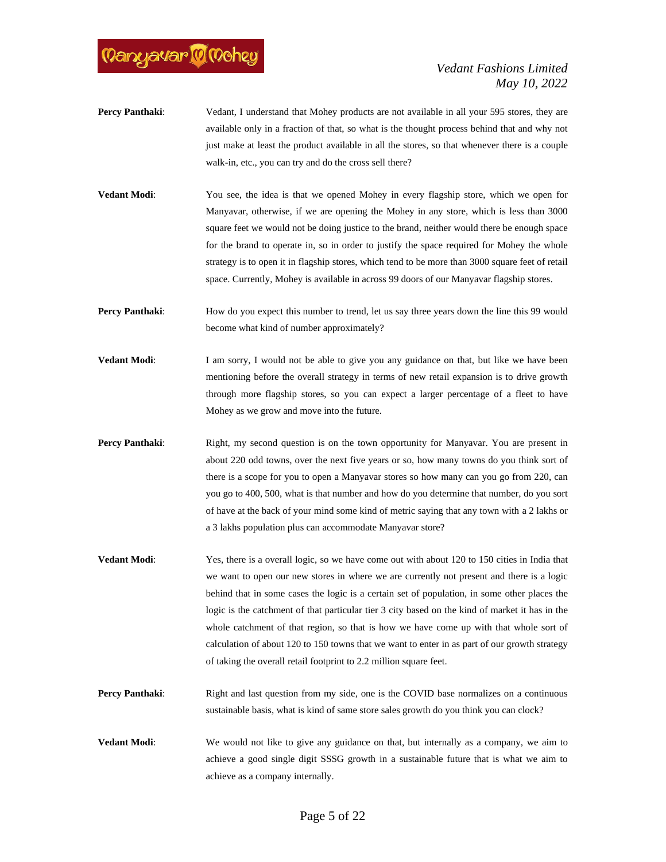

- **Percy Panthaki:** Vedant, I understand that Mohey products are not available in all your 595 stores, they are available only in a fraction of that, so what is the thought process behind that and why not just make at least the product available in all the stores, so that whenever there is a couple walk-in, etc., you can try and do the cross sell there?
- **Vedant Modi**: You see, the idea is that we opened Mohey in every flagship store, which we open for Manyavar, otherwise, if we are opening the Mohey in any store, which is less than 3000 square feet we would not be doing justice to the brand, neither would there be enough space for the brand to operate in, so in order to justify the space required for Mohey the whole strategy is to open it in flagship stores, which tend to be more than 3000 square feet of retail space. Currently, Mohey is available in across 99 doors of our Manyavar flagship stores.
- **Percy Panthaki:** How do you expect this number to trend, let us say three years down the line this 99 would become what kind of number approximately?
- **Vedant Modi:** I am sorry, I would not be able to give you any guidance on that, but like we have been mentioning before the overall strategy in terms of new retail expansion is to drive growth through more flagship stores, so you can expect a larger percentage of a fleet to have Mohey as we grow and move into the future.
- **Percy Panthaki:** Right, my second question is on the town opportunity for Manyavar. You are present in about 220 odd towns, over the next five years or so, how many towns do you think sort of there is a scope for you to open a Manyavar stores so how many can you go from 220, can you go to 400, 500, what is that number and how do you determine that number, do you sort of have at the back of your mind some kind of metric saying that any town with a 2 lakhs or a 3 lakhs population plus can accommodate Manyavar store?
- **Vedant Modi:** Yes, there is a overall logic, so we have come out with about 120 to 150 cities in India that we want to open our new stores in where we are currently not present and there is a logic behind that in some cases the logic is a certain set of population, in some other places the logic is the catchment of that particular tier 3 city based on the kind of market it has in the whole catchment of that region, so that is how we have come up with that whole sort of calculation of about 120 to 150 towns that we want to enter in as part of our growth strategy of taking the overall retail footprint to 2.2 million square feet.
- **Percy Panthaki:** Right and last question from my side, one is the COVID base normalizes on a continuous sustainable basis, what is kind of same store sales growth do you think you can clock?
- **Vedant Modi**: We would not like to give any guidance on that, but internally as a company, we aim to achieve a good single digit SSSG growth in a sustainable future that is what we aim to achieve as a company internally.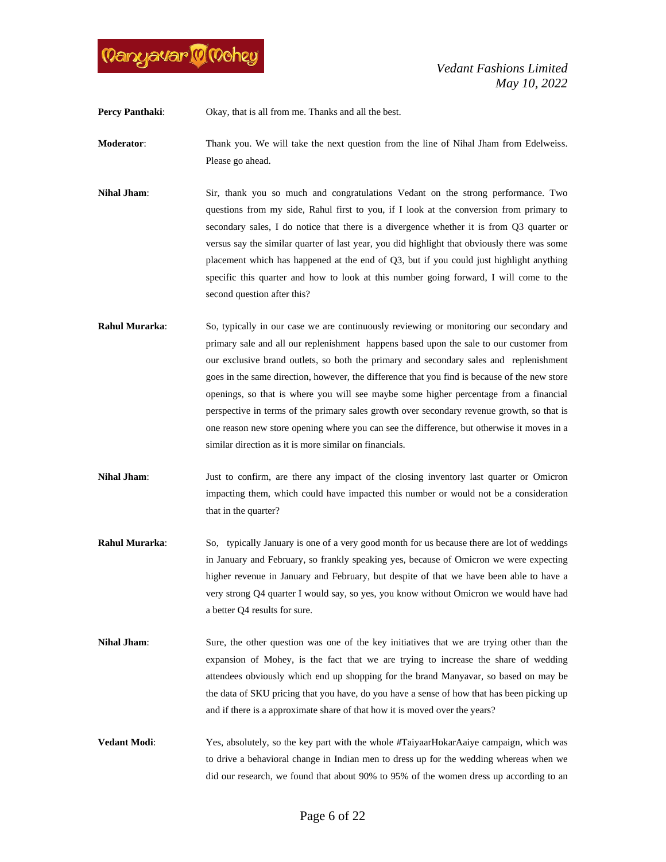

**Percy Panthaki:** Okay, that is all from me. Thanks and all the best.

**Moderator**: Thank you. We will take the next question from the line of Nihal Jham from Edelweiss. Please go ahead.

**Nihal Jham**: Sir, thank you so much and congratulations Vedant on the strong performance. Two questions from my side, Rahul first to you, if I look at the conversion from primary to secondary sales, I do notice that there is a divergence whether it is from Q3 quarter or versus say the similar quarter of last year, you did highlight that obviously there was some placement which has happened at the end of Q3, but if you could just highlight anything specific this quarter and how to look at this number going forward, I will come to the second question after this?

- **Rahul Murarka**: So, typically in our case we are continuously reviewing or monitoring our secondary and primary sale and all our replenishment happens based upon the sale to our customer from our exclusive brand outlets, so both the primary and secondary sales and replenishment goes in the same direction, however, the difference that you find is because of the new store openings, so that is where you will see maybe some higher percentage from a financial perspective in terms of the primary sales growth over secondary revenue growth, so that is one reason new store opening where you can see the difference, but otherwise it moves in a similar direction as it is more similar on financials.
- **Nihal Jham**: Just to confirm, are there any impact of the closing inventory last quarter or Omicron impacting them, which could have impacted this number or would not be a consideration that in the quarter?
- **Rahul Murarka**: So, typically January is one of a very good month for us because there are lot of weddings in January and February, so frankly speaking yes, because of Omicron we were expecting higher revenue in January and February, but despite of that we have been able to have a very strong Q4 quarter I would say, so yes, you know without Omicron we would have had a better Q4 results for sure.
- **Nihal Jham**: Sure, the other question was one of the key initiatives that we are trying other than the expansion of Mohey, is the fact that we are trying to increase the share of wedding attendees obviously which end up shopping for the brand Manyavar, so based on may be the data of SKU pricing that you have, do you have a sense of how that has been picking up and if there is a approximate share of that how it is moved over the years?
- **Vedant Modi**: Yes, absolutely, so the key part with the whole #TaiyaarHokarAaiye campaign, which was to drive a behavioral change in Indian men to dress up for the wedding whereas when we did our research, we found that about 90% to 95% of the women dress up according to an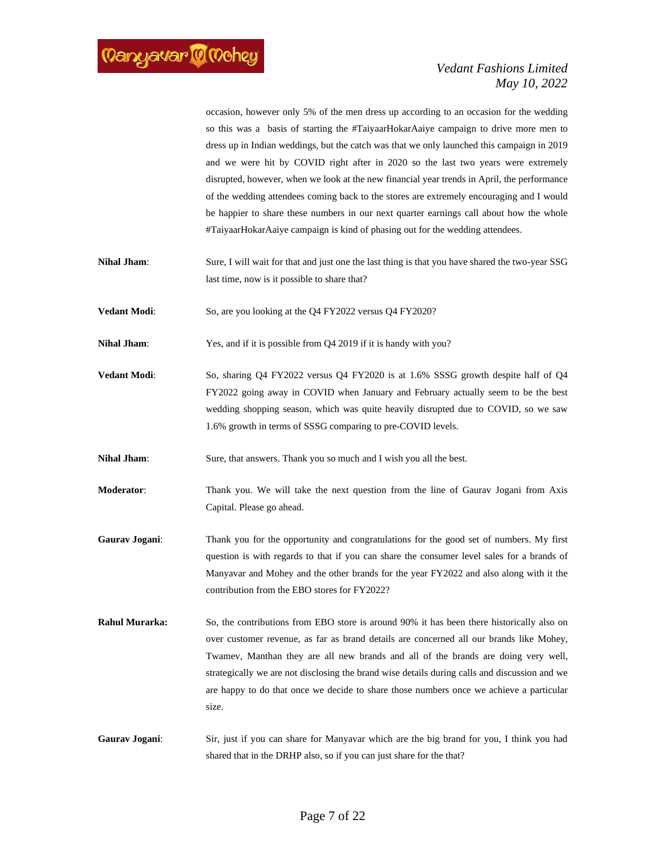occasion, however only 5% of the men dress up according to an occasion for the wedding so this was a basis of starting the #TaiyaarHokarAaiye campaign to drive more men to dress up in Indian weddings, but the catch was that we only launched this campaign in 2019 and we were hit by COVID right after in 2020 so the last two years were extremely disrupted, however, when we look at the new financial year trends in April, the performance of the wedding attendees coming back to the stores are extremely encouraging and I would be happier to share these numbers in our next quarter earnings call about how the whole #TaiyaarHokarAaiye campaign is kind of phasing out for the wedding attendees.

**Nihal Jham**: Sure, I will wait for that and just one the last thing is that you have shared the two-year SSG last time, now is it possible to share that?

**Vedant Modi:** So, are you looking at the Q4 FY2022 versus Q4 FY2020?

**Nihal Jham**: Yes, and if it is possible from Q4 2019 if it is handy with you?

**Vedant Modi:** So, sharing Q4 FY2022 versus Q4 FY2020 is at 1.6% SSSG growth despite half of Q4 FY2022 going away in COVID when January and February actually seem to be the best wedding shopping season, which was quite heavily disrupted due to COVID, so we saw 1.6% growth in terms of SSSG comparing to pre-COVID levels.

**Nihal Jham**: Sure, that answers. Thank you so much and I wish you all the best.

**Moderator**: Thank you. We will take the next question from the line of Gaurav Jogani from Axis Capital. Please go ahead.

- **Gaurav Jogani**: Thank you for the opportunity and congratulations for the good set of numbers. My first question is with regards to that if you can share the consumer level sales for a brands of Manyavar and Mohey and the other brands for the year FY2022 and also along with it the contribution from the EBO stores for FY2022?
- **Rahul Murarka:** So, the contributions from EBO store is around 90% it has been there historically also on over customer revenue, as far as brand details are concerned all our brands like Mohey, Twamev, Manthan they are all new brands and all of the brands are doing very well, strategically we are not disclosing the brand wise details during calls and discussion and we are happy to do that once we decide to share those numbers once we achieve a particular size.
- **Gaurav Jogani**: Sir, just if you can share for Manyavar which are the big brand for you, I think you had shared that in the DRHP also, so if you can just share for the that?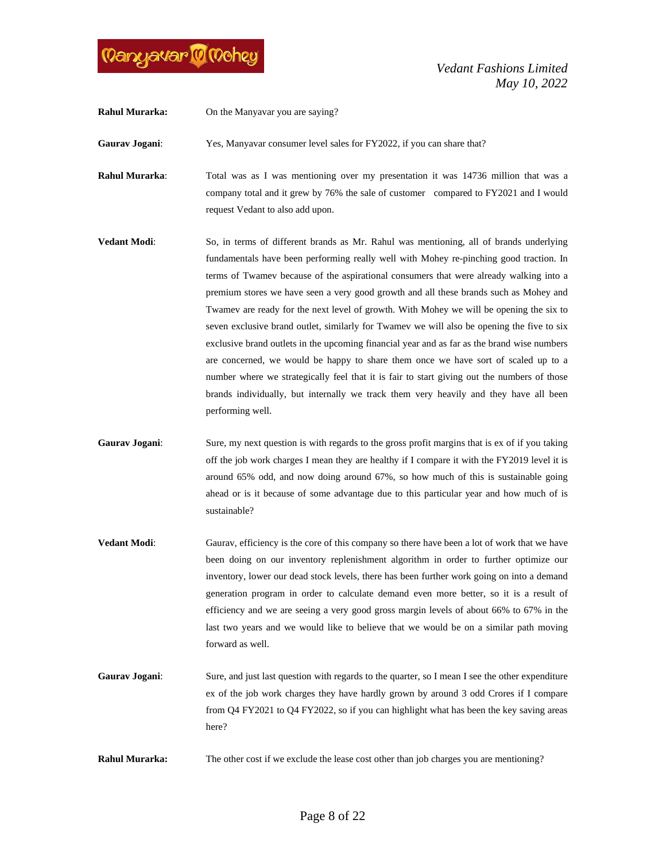

**Rahul Murarka:** On the Manyavar you are saying?

Gaurav Jogani: Yes, Manyavar consumer level sales for FY2022, if you can share that?

**Rahul Murarka**: Total was as I was mentioning over my presentation it was 14736 million that was a company total and it grew by 76% the sale of customer compared to FY2021 and I would request Vedant to also add upon.

- **Vedant Modi**: So, in terms of different brands as Mr. Rahul was mentioning, all of brands underlying fundamentals have been performing really well with Mohey re-pinching good traction. In terms of Twamev because of the aspirational consumers that were already walking into a premium stores we have seen a very good growth and all these brands such as Mohey and Twamev are ready for the next level of growth. With Mohey we will be opening the six to seven exclusive brand outlet, similarly for Twamev we will also be opening the five to six exclusive brand outlets in the upcoming financial year and as far as the brand wise numbers are concerned, we would be happy to share them once we have sort of scaled up to a number where we strategically feel that it is fair to start giving out the numbers of those brands individually, but internally we track them very heavily and they have all been performing well.
- Gaurav Jogani: Sure, my next question is with regards to the gross profit margins that is ex of if you taking off the job work charges I mean they are healthy if I compare it with the FY2019 level it is around 65% odd, and now doing around 67%, so how much of this is sustainable going ahead or is it because of some advantage due to this particular year and how much of is sustainable?
- **Vedant Modi:** Gaurav, efficiency is the core of this company so there have been a lot of work that we have been doing on our inventory replenishment algorithm in order to further optimize our inventory, lower our dead stock levels, there has been further work going on into a demand generation program in order to calculate demand even more better, so it is a result of efficiency and we are seeing a very good gross margin levels of about 66% to 67% in the last two years and we would like to believe that we would be on a similar path moving forward as well.
- Gaurav Jogani: Sure, and just last question with regards to the quarter, so I mean I see the other expenditure ex of the job work charges they have hardly grown by around 3 odd Crores if I compare from Q4 FY2021 to Q4 FY2022, so if you can highlight what has been the key saving areas here?
- **Rahul Murarka:** The other cost if we exclude the lease cost other than job charges you are mentioning?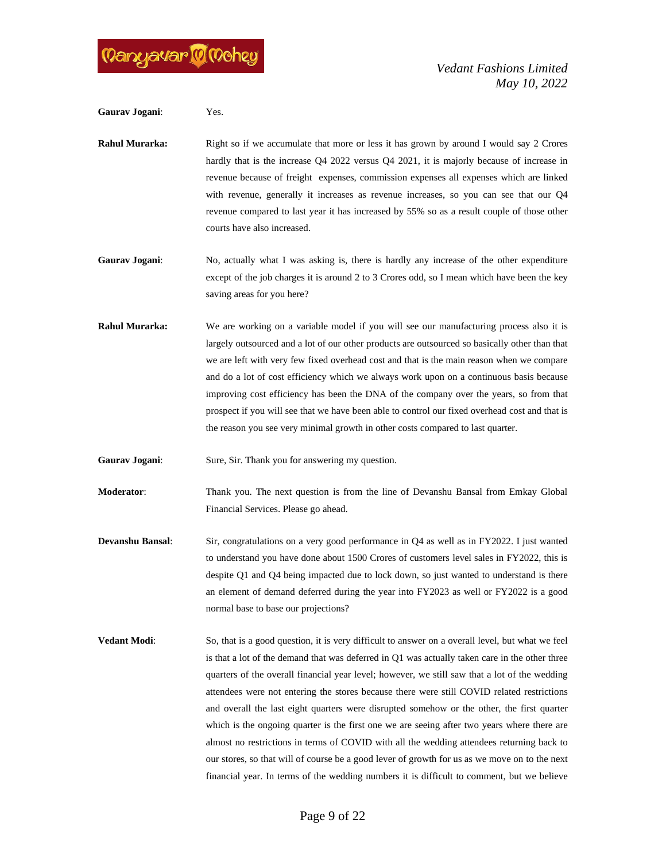

**Gaurav Jogani**: Yes.

**Rahul Murarka:** Right so if we accumulate that more or less it has grown by around I would say 2 Crores hardly that is the increase Q4 2022 versus Q4 2021, it is majorly because of increase in revenue because of freight expenses, commission expenses all expenses which are linked with revenue, generally it increases as revenue increases, so you can see that our Q4 revenue compared to last year it has increased by 55% so as a result couple of those other courts have also increased.

Gaurav Jogani: No, actually what I was asking is, there is hardly any increase of the other expenditure except of the job charges it is around 2 to 3 Crores odd, so I mean which have been the key saving areas for you here?

**Rahul Murarka:** We are working on a variable model if you will see our manufacturing process also it is largely outsourced and a lot of our other products are outsourced so basically other than that we are left with very few fixed overhead cost and that is the main reason when we compare and do a lot of cost efficiency which we always work upon on a continuous basis because improving cost efficiency has been the DNA of the company over the years, so from that prospect if you will see that we have been able to control our fixed overhead cost and that is the reason you see very minimal growth in other costs compared to last quarter.

**Gaurav Jogani:** Sure, Sir. Thank you for answering my question.

**Moderator**: Thank you. The next question is from the line of Devanshu Bansal from Emkay Global Financial Services. Please go ahead.

- **Devanshu Bansal**: Sir, congratulations on a very good performance in Q4 as well as in FY2022. I just wanted to understand you have done about 1500 Crores of customers level sales in FY2022, this is despite Q1 and Q4 being impacted due to lock down, so just wanted to understand is there an element of demand deferred during the year into FY2023 as well or FY2022 is a good normal base to base our projections?
- **Vedant Modi:** So, that is a good question, it is very difficult to answer on a overall level, but what we feel is that a lot of the demand that was deferred in Q1 was actually taken care in the other three quarters of the overall financial year level; however, we still saw that a lot of the wedding attendees were not entering the stores because there were still COVID related restrictions and overall the last eight quarters were disrupted somehow or the other, the first quarter which is the ongoing quarter is the first one we are seeing after two years where there are almost no restrictions in terms of COVID with all the wedding attendees returning back to our stores, so that will of course be a good lever of growth for us as we move on to the next financial year. In terms of the wedding numbers it is difficult to comment, but we believe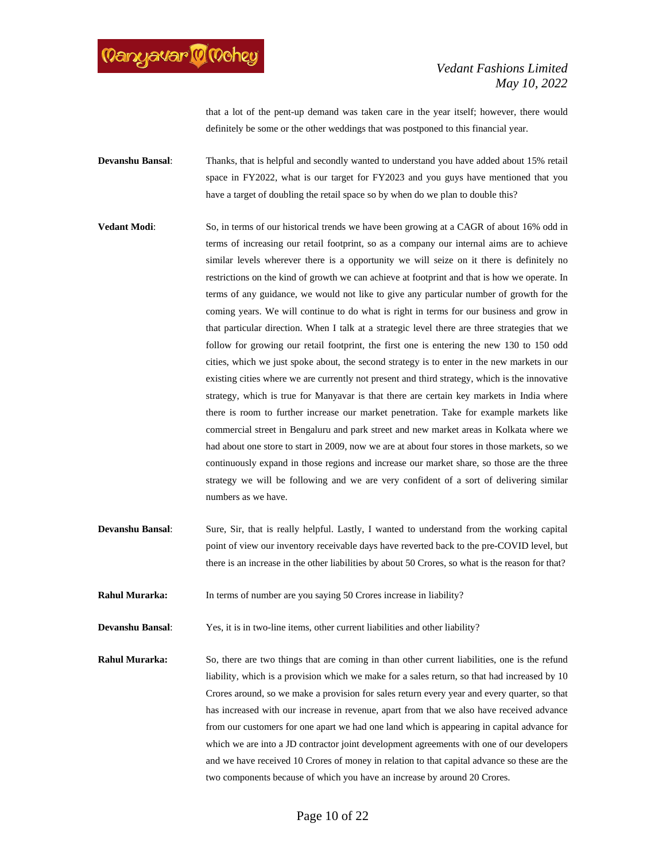

that a lot of the pent-up demand was taken care in the year itself; however, there would definitely be some or the other weddings that was postponed to this financial year.

**Devanshu Bansal**: Thanks, that is helpful and secondly wanted to understand you have added about 15% retail space in FY2022, what is our target for FY2023 and you guys have mentioned that you have a target of doubling the retail space so by when do we plan to double this?

- **Vedant Modi**: So, in terms of our historical trends we have been growing at a CAGR of about 16% odd in terms of increasing our retail footprint, so as a company our internal aims are to achieve similar levels wherever there is a opportunity we will seize on it there is definitely no restrictions on the kind of growth we can achieve at footprint and that is how we operate. In terms of any guidance, we would not like to give any particular number of growth for the coming years. We will continue to do what is right in terms for our business and grow in that particular direction. When I talk at a strategic level there are three strategies that we follow for growing our retail footprint, the first one is entering the new 130 to 150 odd cities, which we just spoke about, the second strategy is to enter in the new markets in our existing cities where we are currently not present and third strategy, which is the innovative strategy, which is true for Manyavar is that there are certain key markets in India where there is room to further increase our market penetration. Take for example markets like commercial street in Bengaluru and park street and new market areas in Kolkata where we had about one store to start in 2009, now we are at about four stores in those markets, so we continuously expand in those regions and increase our market share, so those are the three strategy we will be following and we are very confident of a sort of delivering similar numbers as we have.
- **Devanshu Bansal:** Sure, Sir, that is really helpful. Lastly, I wanted to understand from the working capital point of view our inventory receivable days have reverted back to the pre-COVID level, but there is an increase in the other liabilities by about 50 Crores, so what is the reason for that?
- **Rahul Murarka:** In terms of number are you saying 50 Crores increase in liability?

**Devanshu Bansal:** Yes, it is in two-line items, other current liabilities and other liability?

**Rahul Murarka:** So, there are two things that are coming in than other current liabilities, one is the refund liability, which is a provision which we make for a sales return, so that had increased by 10 Crores around, so we make a provision for sales return every year and every quarter, so that has increased with our increase in revenue, apart from that we also have received advance from our customers for one apart we had one land which is appearing in capital advance for which we are into a JD contractor joint development agreements with one of our developers and we have received 10 Crores of money in relation to that capital advance so these are the two components because of which you have an increase by around 20 Crores.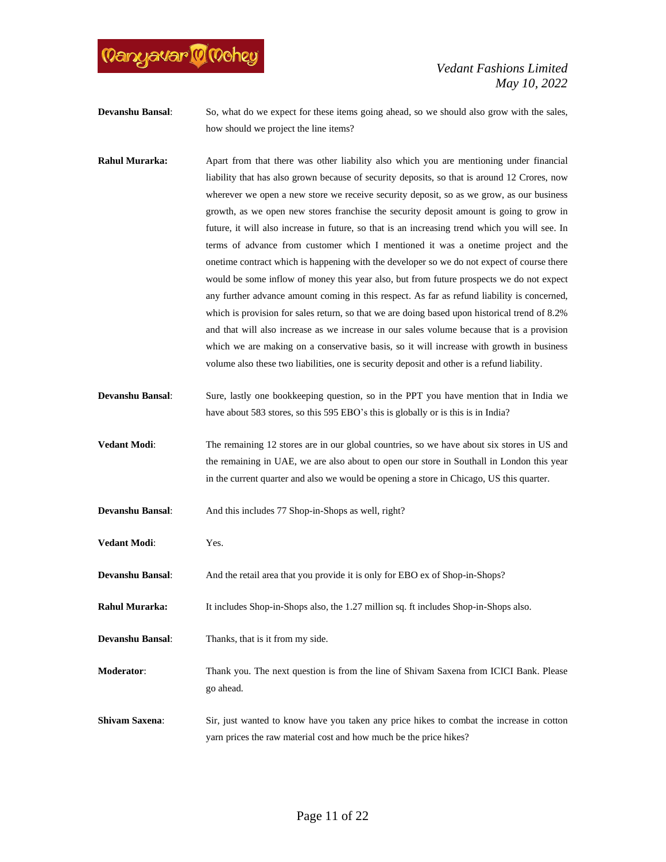

**Devanshu Bansal:** So, what do we expect for these items going ahead, so we should also grow with the sales, how should we project the line items?

- **Rahul Murarka:** Apart from that there was other liability also which you are mentioning under financial liability that has also grown because of security deposits, so that is around 12 Crores, now wherever we open a new store we receive security deposit, so as we grow, as our business growth, as we open new stores franchise the security deposit amount is going to grow in future, it will also increase in future, so that is an increasing trend which you will see. In terms of advance from customer which I mentioned it was a onetime project and the onetime contract which is happening with the developer so we do not expect of course there would be some inflow of money this year also, but from future prospects we do not expect any further advance amount coming in this respect. As far as refund liability is concerned, which is provision for sales return, so that we are doing based upon historical trend of 8.2% and that will also increase as we increase in our sales volume because that is a provision which we are making on a conservative basis, so it will increase with growth in business volume also these two liabilities, one is security deposit and other is a refund liability.
- **Devanshu Bansal**: Sure, lastly one bookkeeping question, so in the PPT you have mention that in India we have about 583 stores, so this 595 EBO's this is globally or is this is in India?
- **Vedant Modi:** The remaining 12 stores are in our global countries, so we have about six stores in US and the remaining in UAE, we are also about to open our store in Southall in London this year in the current quarter and also we would be opening a store in Chicago, US this quarter.

**Devanshu Bansal:** And this includes 77 Shop-in-Shops as well, right?

- **Vedant Modi**: Yes.
- **Devanshu Bansal**: And the retail area that you provide it is only for EBO ex of Shop-in-Shops?

**Rahul Murarka:** It includes Shop-in-Shops also, the 1.27 million sq. ft includes Shop-in-Shops also.

**Devanshu Bansal**: Thanks, that is it from my side.

**Moderator**: Thank you. The next question is from the line of Shivam Saxena from ICICI Bank. Please go ahead.

**Shivam Saxena:** Sir, just wanted to know have you taken any price hikes to combat the increase in cotton yarn prices the raw material cost and how much be the price hikes?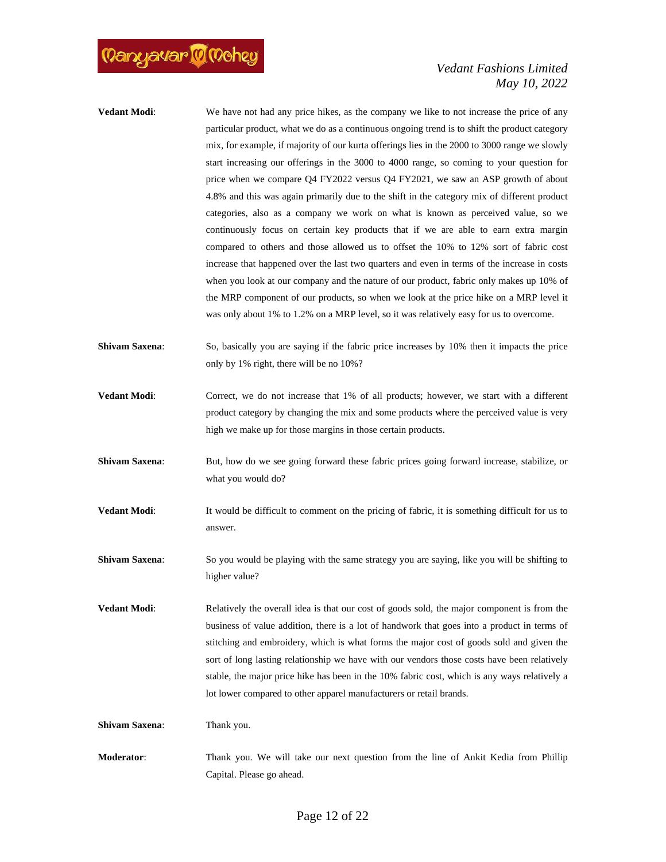

- **Vedant Modi:** We have not had any price hikes, as the company we like to not increase the price of any particular product, what we do as a continuous ongoing trend is to shift the product category mix, for example, if majority of our kurta offerings lies in the 2000 to 3000 range we slowly start increasing our offerings in the 3000 to 4000 range, so coming to your question for price when we compare Q4 FY2022 versus Q4 FY2021, we saw an ASP growth of about 4.8% and this was again primarily due to the shift in the category mix of different product categories, also as a company we work on what is known as perceived value, so we continuously focus on certain key products that if we are able to earn extra margin compared to others and those allowed us to offset the 10% to 12% sort of fabric cost increase that happened over the last two quarters and even in terms of the increase in costs when you look at our company and the nature of our product, fabric only makes up 10% of the MRP component of our products, so when we look at the price hike on a MRP level it was only about 1% to 1.2% on a MRP level, so it was relatively easy for us to overcome.
- **Shivam Saxena:** So, basically you are saying if the fabric price increases by 10% then it impacts the price only by 1% right, there will be no 10%?
- **Vedant Modi:** Correct, we do not increase that 1% of all products; however, we start with a different product category by changing the mix and some products where the perceived value is very high we make up for those margins in those certain products.
- **Shivam Saxena:** But, how do we see going forward these fabric prices going forward increase, stabilize, or what you would do?
- **Vedant Modi:** It would be difficult to comment on the pricing of fabric, it is something difficult for us to answer.
- **Shivam Saxena:** So you would be playing with the same strategy you are saying, like you will be shifting to higher value?
- **Vedant Modi**: Relatively the overall idea is that our cost of goods sold, the major component is from the business of value addition, there is a lot of handwork that goes into a product in terms of stitching and embroidery, which is what forms the major cost of goods sold and given the sort of long lasting relationship we have with our vendors those costs have been relatively stable, the major price hike has been in the 10% fabric cost, which is any ways relatively a lot lower compared to other apparel manufacturers or retail brands.

**Shivam Saxena:** Thank you.

**Moderator**: Thank you. We will take our next question from the line of Ankit Kedia from Phillip Capital. Please go ahead.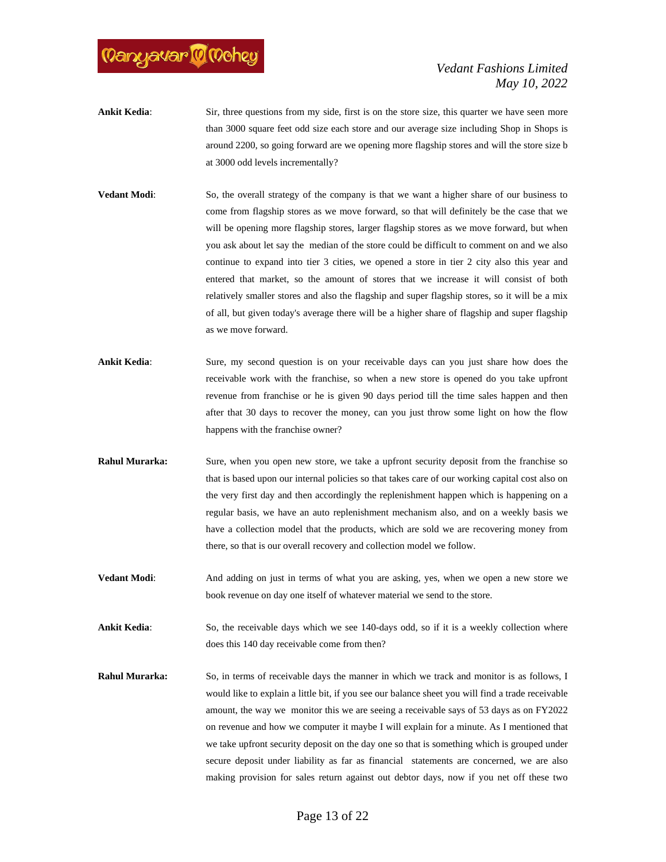

- **Ankit Kedia:** Sir, three questions from my side, first is on the store size, this quarter we have seen more than 3000 square feet odd size each store and our average size including Shop in Shops is around 2200, so going forward are we opening more flagship stores and will the store size b at 3000 odd levels incrementally?
- **Vedant Modi:** So, the overall strategy of the company is that we want a higher share of our business to come from flagship stores as we move forward, so that will definitely be the case that we will be opening more flagship stores, larger flagship stores as we move forward, but when you ask about let say the median of the store could be difficult to comment on and we also continue to expand into tier 3 cities, we opened a store in tier 2 city also this year and entered that market, so the amount of stores that we increase it will consist of both relatively smaller stores and also the flagship and super flagship stores, so it will be a mix of all, but given today's average there will be a higher share of flagship and super flagship as we move forward.
- **Ankit Kedia:** Sure, my second question is on your receivable days can you just share how does the receivable work with the franchise, so when a new store is opened do you take upfront revenue from franchise or he is given 90 days period till the time sales happen and then after that 30 days to recover the money, can you just throw some light on how the flow happens with the franchise owner?
- **Rahul Murarka:** Sure, when you open new store, we take a upfront security deposit from the franchise so that is based upon our internal policies so that takes care of our working capital cost also on the very first day and then accordingly the replenishment happen which is happening on a regular basis, we have an auto replenishment mechanism also, and on a weekly basis we have a collection model that the products, which are sold we are recovering money from there, so that is our overall recovery and collection model we follow.
- **Vedant Modi**: And adding on just in terms of what you are asking, yes, when we open a new store we book revenue on day one itself of whatever material we send to the store.
- **Ankit Kedia:** So, the receivable days which we see 140-days odd, so if it is a weekly collection where does this 140 day receivable come from then?
- **Rahul Murarka:** So, in terms of receivable days the manner in which we track and monitor is as follows, I would like to explain a little bit, if you see our balance sheet you will find a trade receivable amount, the way we monitor this we are seeing a receivable says of 53 days as on FY2022 on revenue and how we computer it maybe I will explain for a minute. As I mentioned that we take upfront security deposit on the day one so that is something which is grouped under secure deposit under liability as far as financial statements are concerned, we are also making provision for sales return against out debtor days, now if you net off these two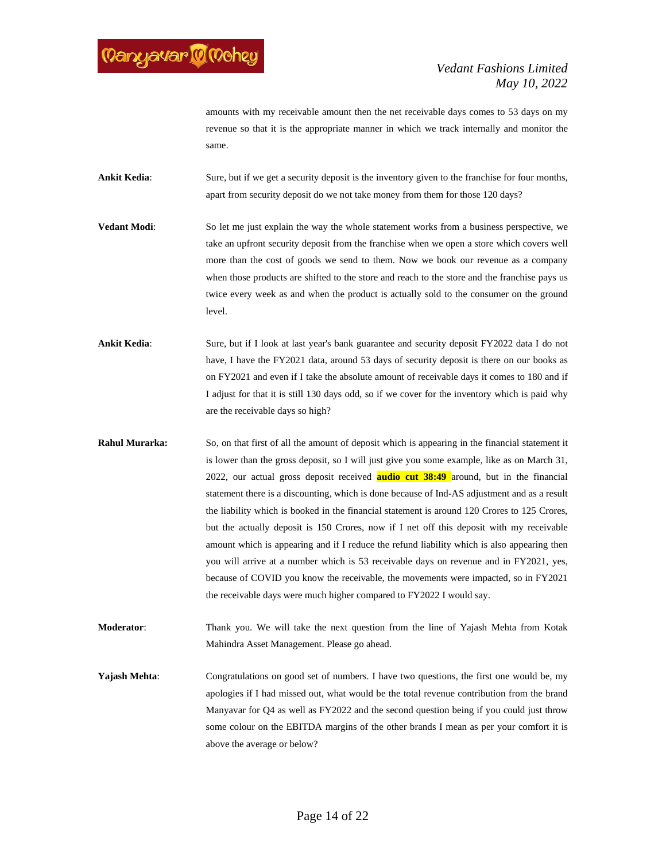

amounts with my receivable amount then the net receivable days comes to 53 days on my revenue so that it is the appropriate manner in which we track internally and monitor the same.

**Ankit Kedia**: Sure, but if we get a security deposit is the inventory given to the franchise for four months, apart from security deposit do we not take money from them for those 120 days?

**Vedant Modi**: So let me just explain the way the whole statement works from a business perspective, we take an upfront security deposit from the franchise when we open a store which covers well more than the cost of goods we send to them. Now we book our revenue as a company when those products are shifted to the store and reach to the store and the franchise pays us twice every week as and when the product is actually sold to the consumer on the ground level.

**Ankit Kedia**: Sure, but if I look at last year's bank guarantee and security deposit FY2022 data I do not have, I have the FY2021 data, around 53 days of security deposit is there on our books as on FY2021 and even if I take the absolute amount of receivable days it comes to 180 and if I adjust for that it is still 130 days odd, so if we cover for the inventory which is paid why are the receivable days so high?

**Rahul Murarka:** So, on that first of all the amount of deposit which is appearing in the financial statement it is lower than the gross deposit, so I will just give you some example, like as on March 31, 2022, our actual gross deposit received **audio cut 38:49** around, but in the financial statement there is a discounting, which is done because of Ind-AS adjustment and as a result the liability which is booked in the financial statement is around 120 Crores to 125 Crores, but the actually deposit is 150 Crores, now if I net off this deposit with my receivable amount which is appearing and if I reduce the refund liability which is also appearing then you will arrive at a number which is 53 receivable days on revenue and in FY2021, yes, because of COVID you know the receivable, the movements were impacted, so in FY2021 the receivable days were much higher compared to FY2022 I would say.

**Moderator**: Thank you. We will take the next question from the line of Yajash Mehta from Kotak Mahindra Asset Management. Please go ahead.

**Yajash Mehta**: Congratulations on good set of numbers. I have two questions, the first one would be, my apologies if I had missed out, what would be the total revenue contribution from the brand Manyavar for Q4 as well as FY2022 and the second question being if you could just throw some colour on the EBITDA margins of the other brands I mean as per your comfort it is above the average or below?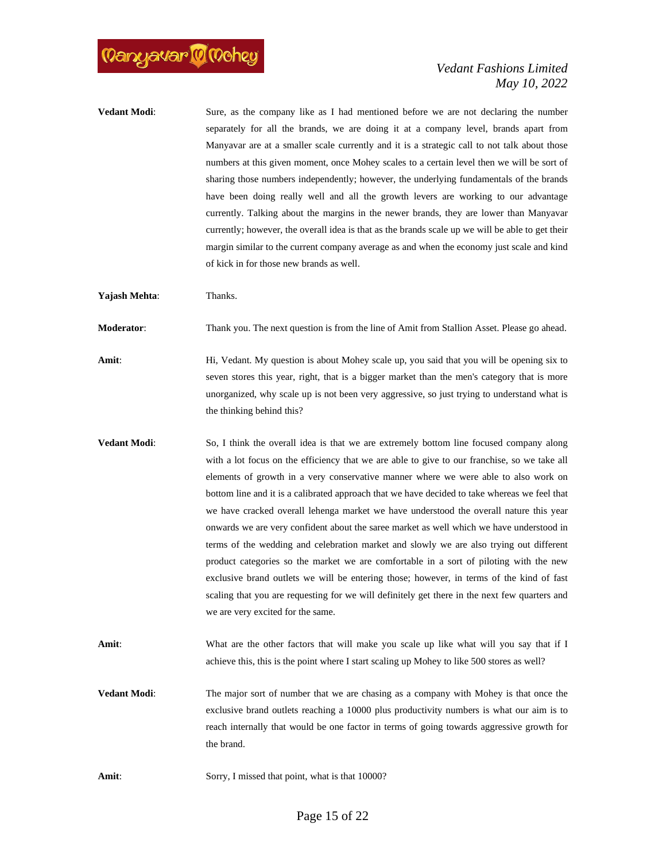

**Vedant Modi**: Sure, as the company like as I had mentioned before we are not declaring the number separately for all the brands, we are doing it at a company level, brands apart from Manyavar are at a smaller scale currently and it is a strategic call to not talk about those numbers at this given moment, once Mohey scales to a certain level then we will be sort of sharing those numbers independently; however, the underlying fundamentals of the brands have been doing really well and all the growth levers are working to our advantage currently. Talking about the margins in the newer brands, they are lower than Manyavar currently; however, the overall idea is that as the brands scale up we will be able to get their margin similar to the current company average as and when the economy just scale and kind of kick in for those new brands as well.

**Yajash Mehta**: Thanks.

**Moderator**: Thank you. The next question is from the line of Amit from Stallion Asset. Please go ahead.

- Amit: Hi, Vedant. My question is about Mohey scale up, you said that you will be opening six to seven stores this year, right, that is a bigger market than the men's category that is more unorganized, why scale up is not been very aggressive, so just trying to understand what is the thinking behind this?
- **Vedant Modi**: So, I think the overall idea is that we are extremely bottom line focused company along with a lot focus on the efficiency that we are able to give to our franchise, so we take all elements of growth in a very conservative manner where we were able to also work on bottom line and it is a calibrated approach that we have decided to take whereas we feel that we have cracked overall lehenga market we have understood the overall nature this year onwards we are very confident about the saree market as well which we have understood in terms of the wedding and celebration market and slowly we are also trying out different product categories so the market we are comfortable in a sort of piloting with the new exclusive brand outlets we will be entering those; however, in terms of the kind of fast scaling that you are requesting for we will definitely get there in the next few quarters and we are very excited for the same.
- Amit: What are the other factors that will make you scale up like what will you say that if I achieve this, this is the point where I start scaling up Mohey to like 500 stores as well?
- **Vedant Modi:** The major sort of number that we are chasing as a company with Mohey is that once the exclusive brand outlets reaching a 10000 plus productivity numbers is what our aim is to reach internally that would be one factor in terms of going towards aggressive growth for the brand.
- Amit: Sorry, I missed that point, what is that 10000?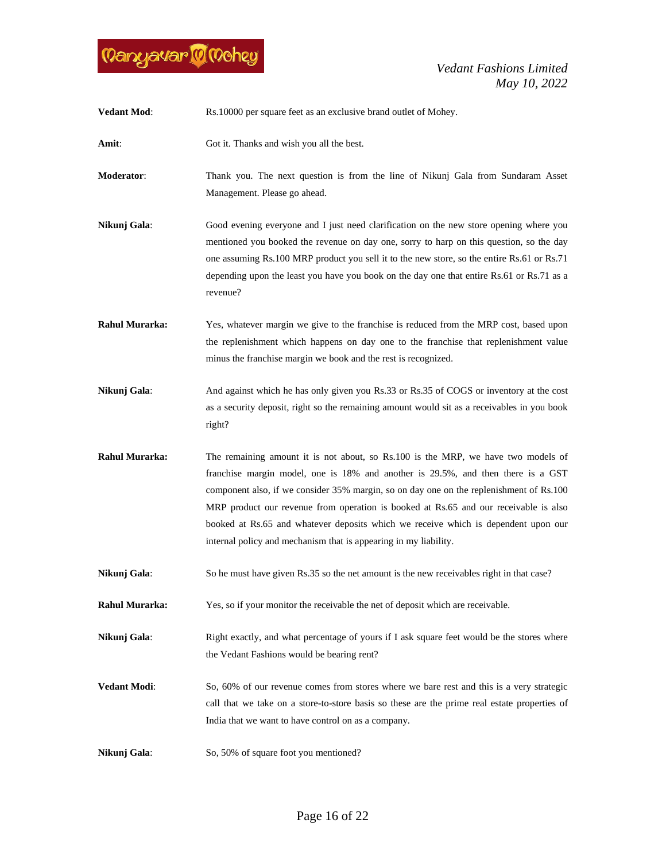

| <b>Vedant Mod:</b>    | Rs.10000 per square feet as an exclusive brand outlet of Mohey.                                                                                                                                                                                                                                                                                                                                                                                                                                                    |
|-----------------------|--------------------------------------------------------------------------------------------------------------------------------------------------------------------------------------------------------------------------------------------------------------------------------------------------------------------------------------------------------------------------------------------------------------------------------------------------------------------------------------------------------------------|
| Amit:                 | Got it. Thanks and wish you all the best.                                                                                                                                                                                                                                                                                                                                                                                                                                                                          |
| Moderator:            | Thank you. The next question is from the line of Nikunj Gala from Sundaram Asset<br>Management. Please go ahead.                                                                                                                                                                                                                                                                                                                                                                                                   |
| Nikunj Gala:          | Good evening everyone and I just need clarification on the new store opening where you<br>mentioned you booked the revenue on day one, sorry to harp on this question, so the day<br>one assuming Rs.100 MRP product you sell it to the new store, so the entire Rs.61 or Rs.71<br>depending upon the least you have you book on the day one that entire Rs.61 or Rs.71 as a<br>revenue?                                                                                                                           |
| <b>Rahul Murarka:</b> | Yes, whatever margin we give to the franchise is reduced from the MRP cost, based upon<br>the replenishment which happens on day one to the franchise that replenishment value<br>minus the franchise margin we book and the rest is recognized.                                                                                                                                                                                                                                                                   |
| Nikunj Gala:          | And against which he has only given you Rs.33 or Rs.35 of COGS or inventory at the cost<br>as a security deposit, right so the remaining amount would sit as a receivables in you book<br>right?                                                                                                                                                                                                                                                                                                                   |
| <b>Rahul Murarka:</b> | The remaining amount it is not about, so Rs.100 is the MRP, we have two models of<br>franchise margin model, one is 18% and another is 29.5%, and then there is a GST<br>component also, if we consider 35% margin, so on day one on the replenishment of Rs.100<br>MRP product our revenue from operation is booked at Rs.65 and our receivable is also<br>booked at Rs.65 and whatever deposits which we receive which is dependent upon our<br>internal policy and mechanism that is appearing in my liability. |
| Nikunj Gala:          | So he must have given Rs.35 so the net amount is the new receivables right in that case?                                                                                                                                                                                                                                                                                                                                                                                                                           |
| <b>Rahul Murarka:</b> | Yes, so if your monitor the receivable the net of deposit which are receivable.                                                                                                                                                                                                                                                                                                                                                                                                                                    |
| Nikunj Gala:          | Right exactly, and what percentage of yours if I ask square feet would be the stores where<br>the Vedant Fashions would be bearing rent?                                                                                                                                                                                                                                                                                                                                                                           |
| <b>Vedant Modi:</b>   | So, 60% of our revenue comes from stores where we bare rest and this is a very strategic<br>call that we take on a store-to-store basis so these are the prime real estate properties of<br>India that we want to have control on as a company.                                                                                                                                                                                                                                                                    |
| Nikunj Gala:          | So, 50% of square foot you mentioned?                                                                                                                                                                                                                                                                                                                                                                                                                                                                              |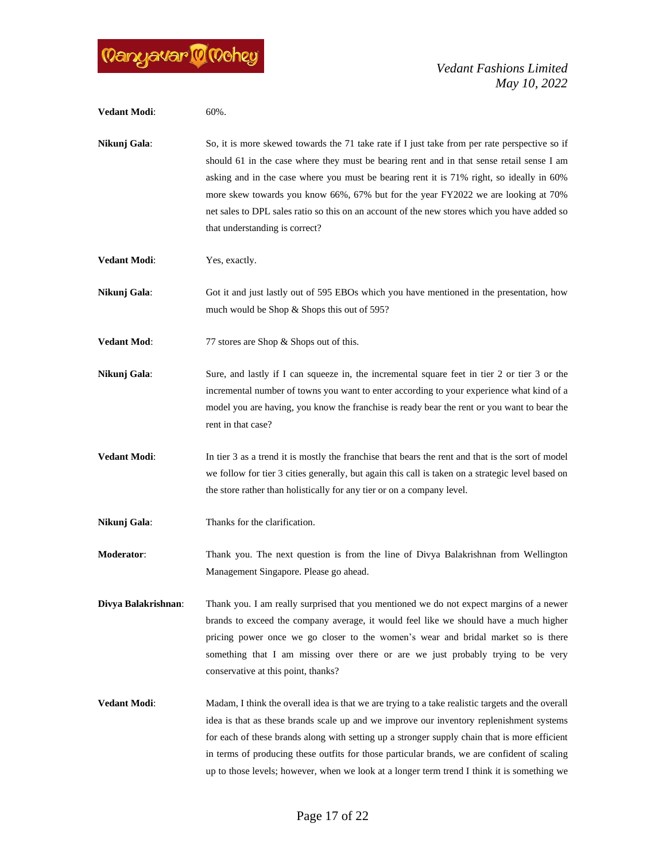

| <b>Vedant Modi:</b> | 60%.                                                                                                                                                                                                                                                                                                                                                                                                                                                                                                          |
|---------------------|---------------------------------------------------------------------------------------------------------------------------------------------------------------------------------------------------------------------------------------------------------------------------------------------------------------------------------------------------------------------------------------------------------------------------------------------------------------------------------------------------------------|
| Nikunj Gala:        | So, it is more skewed towards the 71 take rate if I just take from per rate perspective so if<br>should 61 in the case where they must be bearing rent and in that sense retail sense I am<br>asking and in the case where you must be bearing rent it is 71% right, so ideally in 60%<br>more skew towards you know 66%, 67% but for the year FY2022 we are looking at 70%<br>net sales to DPL sales ratio so this on an account of the new stores which you have added so<br>that understanding is correct? |
| <b>Vedant Modi:</b> | Yes, exactly.                                                                                                                                                                                                                                                                                                                                                                                                                                                                                                 |
| Nikunj Gala:        | Got it and just lastly out of 595 EBOs which you have mentioned in the presentation, how<br>much would be Shop & Shops this out of 595?                                                                                                                                                                                                                                                                                                                                                                       |
| <b>Vedant Mod:</b>  | 77 stores are Shop & Shops out of this.                                                                                                                                                                                                                                                                                                                                                                                                                                                                       |
| Nikunj Gala:        | Sure, and lastly if I can squeeze in, the incremental square feet in tier 2 or tier 3 or the<br>incremental number of towns you want to enter according to your experience what kind of a<br>model you are having, you know the franchise is ready bear the rent or you want to bear the<br>rent in that case?                                                                                                                                                                                                |
| <b>Vedant Modi:</b> | In tier 3 as a trend it is mostly the franchise that bears the rent and that is the sort of model<br>we follow for tier 3 cities generally, but again this call is taken on a strategic level based on<br>the store rather than holistically for any tier or on a company level.                                                                                                                                                                                                                              |
| Nikunj Gala:        | Thanks for the clarification.                                                                                                                                                                                                                                                                                                                                                                                                                                                                                 |
| Moderator:          | Thank you. The next question is from the line of Divya Balakrishnan from Wellington<br>Management Singapore. Please go ahead.                                                                                                                                                                                                                                                                                                                                                                                 |
| Divya Balakrishnan: | Thank you. I am really surprised that you mentioned we do not expect margins of a newer<br>brands to exceed the company average, it would feel like we should have a much higher<br>pricing power once we go closer to the women's wear and bridal market so is there<br>something that I am missing over there or are we just probably trying to be very<br>conservative at this point, thanks?                                                                                                              |
| <b>Vedant Modi:</b> | Madam, I think the overall idea is that we are trying to a take realistic targets and the overall<br>idea is that as these brands scale up and we improve our inventory replenishment systems<br>for each of these brands along with setting up a stronger supply chain that is more efficient<br>in terms of producing these outfits for those particular brands, we are confident of scaling<br>up to those levels; however, when we look at a longer term trend I think it is something we                 |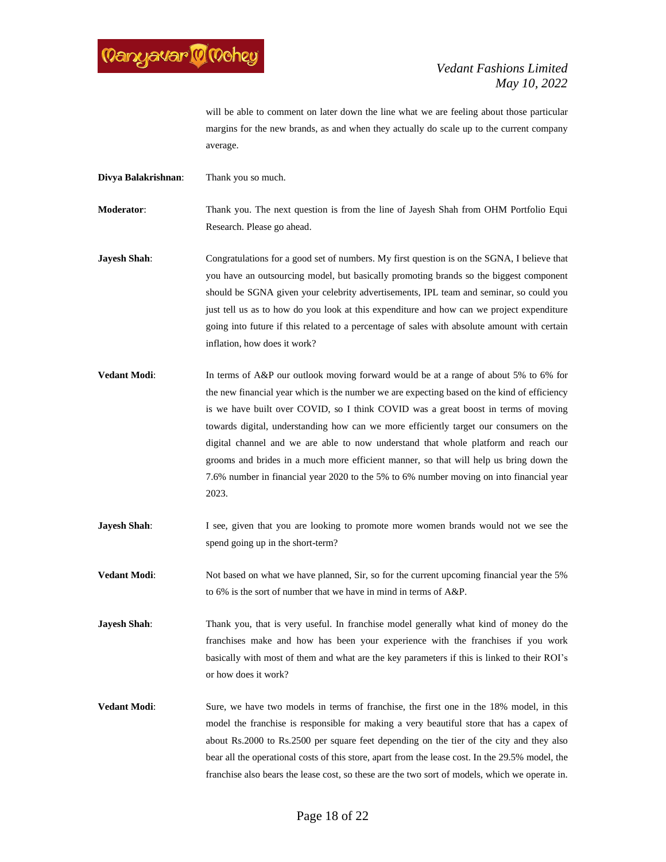

will be able to comment on later down the line what we are feeling about those particular margins for the new brands, as and when they actually do scale up to the current company average.

**Divya Balakrishnan**: Thank you so much.

**Moderator**: Thank you. The next question is from the line of Jayesh Shah from OHM Portfolio Equi Research. Please go ahead.

**Jayesh Shah:** Congratulations for a good set of numbers. My first question is on the SGNA, I believe that you have an outsourcing model, but basically promoting brands so the biggest component should be SGNA given your celebrity advertisements, IPL team and seminar, so could you just tell us as to how do you look at this expenditure and how can we project expenditure going into future if this related to a percentage of sales with absolute amount with certain inflation, how does it work?

- **Vedant Modi:** In terms of A&P our outlook moving forward would be at a range of about 5% to 6% for the new financial year which is the number we are expecting based on the kind of efficiency is we have built over COVID, so I think COVID was a great boost in terms of moving towards digital, understanding how can we more efficiently target our consumers on the digital channel and we are able to now understand that whole platform and reach our grooms and brides in a much more efficient manner, so that will help us bring down the 7.6% number in financial year 2020 to the 5% to 6% number moving on into financial year 2023.
- **Jayesh Shah**: I see, given that you are looking to promote more women brands would not we see the spend going up in the short-term?
- **Vedant Modi:** Not based on what we have planned, Sir, so for the current upcoming financial year the 5% to 6% is the sort of number that we have in mind in terms of A&P.
- **Jayesh Shah**: Thank you, that is very useful. In franchise model generally what kind of money do the franchises make and how has been your experience with the franchises if you work basically with most of them and what are the key parameters if this is linked to their ROI's or how does it work?
- **Vedant Modi**: Sure, we have two models in terms of franchise, the first one in the 18% model, in this model the franchise is responsible for making a very beautiful store that has a capex of about Rs.2000 to Rs.2500 per square feet depending on the tier of the city and they also bear all the operational costs of this store, apart from the lease cost. In the 29.5% model, the franchise also bears the lease cost, so these are the two sort of models, which we operate in.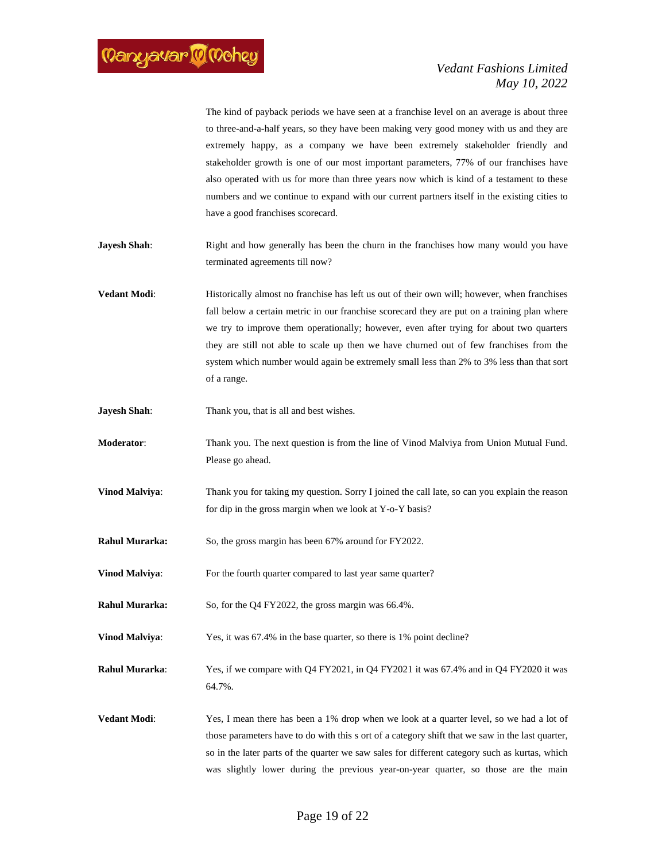The kind of payback periods we have seen at a franchise level on an average is about three to three-and-a-half years, so they have been making very good money with us and they are extremely happy, as a company we have been extremely stakeholder friendly and stakeholder growth is one of our most important parameters, 77% of our franchises have also operated with us for more than three years now which is kind of a testament to these numbers and we continue to expand with our current partners itself in the existing cities to have a good franchises scorecard.

- **Jayesh Shah**: Right and how generally has been the churn in the franchises how many would you have terminated agreements till now?
- **Vedant Modi:** Historically almost no franchise has left us out of their own will; however, when franchises fall below a certain metric in our franchise scorecard they are put on a training plan where we try to improve them operationally; however, even after trying for about two quarters they are still not able to scale up then we have churned out of few franchises from the system which number would again be extremely small less than 2% to 3% less than that sort of a range.
- **Jayesh Shah:** Thank you, that is all and best wishes.
- **Moderator**: Thank you. The next question is from the line of Vinod Malviya from Union Mutual Fund. Please go ahead.
- **Vinod Malviya:** Thank you for taking my question. Sorry I joined the call late, so can you explain the reason for dip in the gross margin when we look at Y-o-Y basis?
- **Rahul Murarka:** So, the gross margin has been 67% around for FY2022.
- **Vinod Malviya:** For the fourth quarter compared to last year same quarter?
- **Rahul Murarka:** So, for the Q4 FY2022, the gross margin was 66.4%.
- **Vinod Malviya:** Yes, it was 67.4% in the base quarter, so there is 1% point decline?
- **Rahul Murarka**: Yes, if we compare with Q4 FY2021, in Q4 FY2021 it was 67.4% and in Q4 FY2020 it was 64.7%.
- **Vedant Modi:** Yes, I mean there has been a 1% drop when we look at a quarter level, so we had a lot of those parameters have to do with this s ort of a category shift that we saw in the last quarter, so in the later parts of the quarter we saw sales for different category such as kurtas, which was slightly lower during the previous year-on-year quarter, so those are the main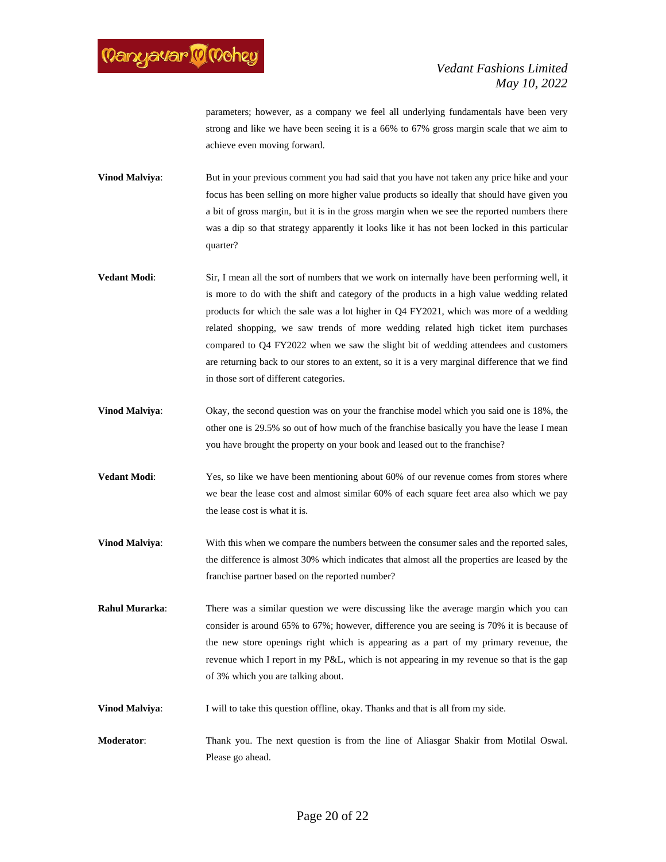

parameters; however, as a company we feel all underlying fundamentals have been very strong and like we have been seeing it is a 66% to 67% gross margin scale that we aim to achieve even moving forward.

**Vinod Malviya:** But in your previous comment you had said that you have not taken any price hike and your focus has been selling on more higher value products so ideally that should have given you a bit of gross margin, but it is in the gross margin when we see the reported numbers there was a dip so that strategy apparently it looks like it has not been locked in this particular quarter?

- **Vedant Modi**: Sir, I mean all the sort of numbers that we work on internally have been performing well, it is more to do with the shift and category of the products in a high value wedding related products for which the sale was a lot higher in Q4 FY2021, which was more of a wedding related shopping, we saw trends of more wedding related high ticket item purchases compared to Q4 FY2022 when we saw the slight bit of wedding attendees and customers are returning back to our stores to an extent, so it is a very marginal difference that we find in those sort of different categories.
- **Vinod Malviya:** Okay, the second question was on your the franchise model which you said one is 18%, the other one is 29.5% so out of how much of the franchise basically you have the lease I mean you have brought the property on your book and leased out to the franchise?
- **Vedant Modi:** Yes, so like we have been mentioning about 60% of our revenue comes from stores where we bear the lease cost and almost similar 60% of each square feet area also which we pay the lease cost is what it is.
- **Vinod Malviya:** With this when we compare the numbers between the consumer sales and the reported sales, the difference is almost 30% which indicates that almost all the properties are leased by the franchise partner based on the reported number?
- **Rahul Murarka**: There was a similar question we were discussing like the average margin which you can consider is around 65% to 67%; however, difference you are seeing is 70% it is because of the new store openings right which is appearing as a part of my primary revenue, the revenue which I report in my P&L, which is not appearing in my revenue so that is the gap of 3% which you are talking about.
- **Vinod Malviya:** I will to take this question offline, okay. Thanks and that is all from my side.

**Moderator**: Thank you. The next question is from the line of Aliasgar Shakir from Motilal Oswal. Please go ahead.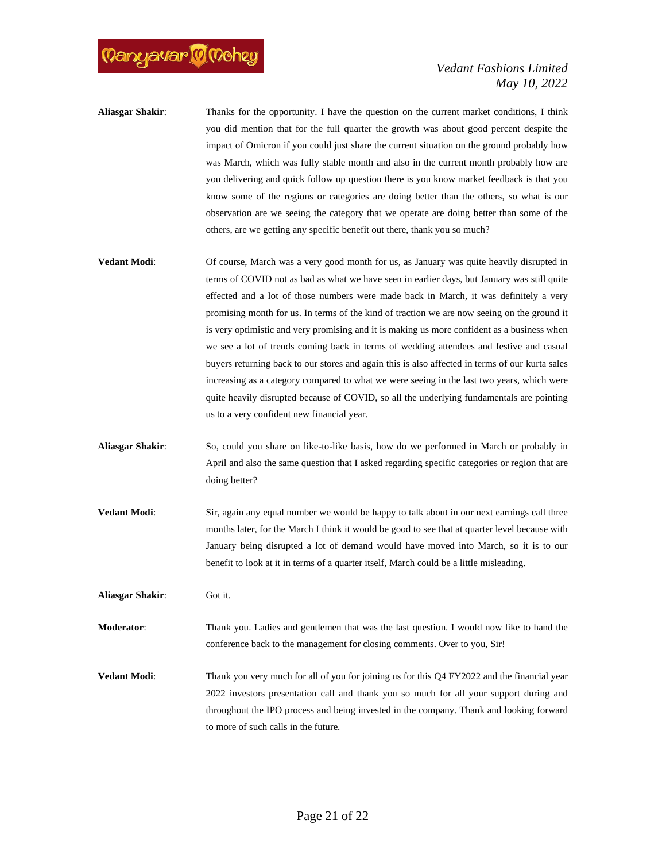

- **Aliasgar Shakir**: Thanks for the opportunity. I have the question on the current market conditions, I think you did mention that for the full quarter the growth was about good percent despite the impact of Omicron if you could just share the current situation on the ground probably how was March, which was fully stable month and also in the current month probably how are you delivering and quick follow up question there is you know market feedback is that you know some of the regions or categories are doing better than the others, so what is our observation are we seeing the category that we operate are doing better than some of the others, are we getting any specific benefit out there, thank you so much?
- **Vedant Modi:** Of course, March was a very good month for us, as January was quite heavily disrupted in terms of COVID not as bad as what we have seen in earlier days, but January was still quite effected and a lot of those numbers were made back in March, it was definitely a very promising month for us. In terms of the kind of traction we are now seeing on the ground it is very optimistic and very promising and it is making us more confident as a business when we see a lot of trends coming back in terms of wedding attendees and festive and casual buyers returning back to our stores and again this is also affected in terms of our kurta sales increasing as a category compared to what we were seeing in the last two years, which were quite heavily disrupted because of COVID, so all the underlying fundamentals are pointing us to a very confident new financial year.
- **Aliasgar Shakir**: So, could you share on like-to-like basis, how do we performed in March or probably in April and also the same question that I asked regarding specific categories or region that are doing better?
- **Vedant Modi:** Sir, again any equal number we would be happy to talk about in our next earnings call three months later, for the March I think it would be good to see that at quarter level because with January being disrupted a lot of demand would have moved into March, so it is to our benefit to look at it in terms of a quarter itself, March could be a little misleading.

**Aliasgar Shakir**: Got it.

**Moderator**: Thank you. Ladies and gentlemen that was the last question. I would now like to hand the conference back to the management for closing comments. Over to you, Sir!

**Vedant Modi:** Thank you very much for all of you for joining us for this Q4 FY2022 and the financial year 2022 investors presentation call and thank you so much for all your support during and throughout the IPO process and being invested in the company. Thank and looking forward to more of such calls in the future.